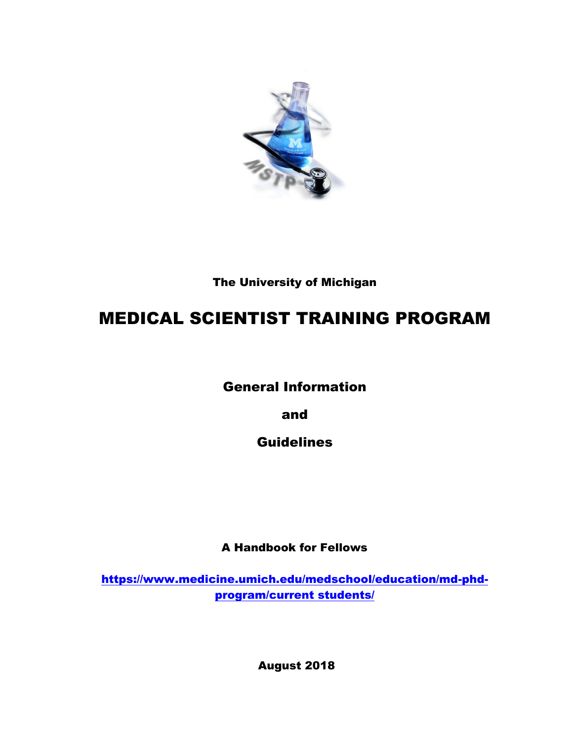

The University of Michigan

# MEDICAL SCIENTIST TRAINING PROGRAM

General Information

and

**Guidelines** 

A Handbook for Fellows

[https://www.medicine.umich.edu/medschool/education/md-phd](https://www.medicine.umich.edu/medschool/education/md-phd-program/current%20students/)[program/current students/](https://www.medicine.umich.edu/medschool/education/md-phd-program/current%20students/)

August 2018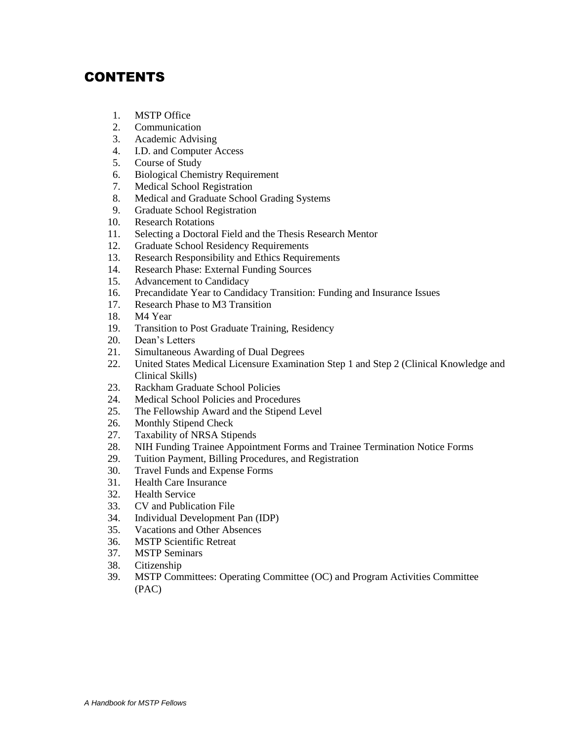## CONTENTS

- 1. MSTP Office
- 2. Communication
- 3. Academic Advising
- 4. I.D. and Computer Access
- 5. Course of Study
- 6. Biological Chemistry Requirement
- 7. Medical School Registration
- 8. Medical and Graduate School Grading Systems
- 9. Graduate School Registration
- 10. Research Rotations
- 11. Selecting a Doctoral Field and the Thesis Research Mentor
- 12. Graduate School Residency Requirements
- 13. Research Responsibility and Ethics Requirements
- 14. Research Phase: External Funding Sources
- 15. Advancement to Candidacy
- 16. Precandidate Year to Candidacy Transition: Funding and Insurance Issues
- 17. Research Phase to M3 Transition
- 18. M4 Year
- 19. Transition to Post Graduate Training, Residency
- 20. Dean's Letters
- 21. Simultaneous Awarding of Dual Degrees
- 22. United States Medical Licensure Examination Step 1 and Step 2 (Clinical Knowledge and Clinical Skills)
- 23. Rackham Graduate School Policies<br>24. Medical School Policies and Proced
- Medical School Policies and Procedures
- 25. The Fellowship Award and the Stipend Level
- 26. Monthly Stipend Check
- 27. Taxability of NRSA Stipends
- 28. NIH Funding Trainee Appointment Forms and Trainee Termination Notice Forms
- 29. Tuition Payment, Billing Procedures, and Registration
- 30. Travel Funds and Expense Forms
- 31. Health Care Insurance
- 32. Health Service
- 33. CV and Publication File
- 34. Individual Development Pan (IDP)
- 35. Vacations and Other Absences
- 36. MSTP Scientific Retreat
- 37. MSTP Seminars
- 38. Citizenship
- 39. MSTP Committees: Operating Committee (OC) and Program Activities Committee (PAC)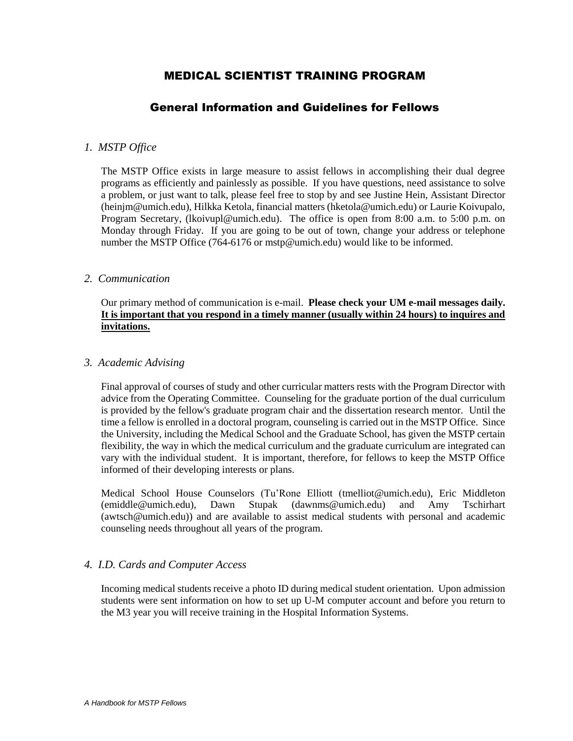## MEDICAL SCIENTIST TRAINING PROGRAM

## General Information and Guidelines for Fellows

## *1. MSTP Office*

The MSTP Office exists in large measure to assist fellows in accomplishing their dual degree programs as efficiently and painlessly as possible. If you have questions, need assistance to solve a problem, or just want to talk, please feel free to stop by and see Justine Hein, Assistant Director (heinjm@umich.edu), Hilkka Ketola, financial matters (hketola@umich.edu) or Laurie Koivupalo, Program Secretary, (lkoivupl@umich.edu). The office is open from 8:00 a.m. to 5:00 p.m. on Monday through Friday. If you are going to be out of town, change your address or telephone number the MSTP Office (764-6176 or mstp@umich.edu) would like to be informed.

#### *2. Communication*

Our primary method of communication is e-mail. **Please check your UM e-mail messages daily. It is important that you respond in a timely manner (usually within 24 hours) to inquires and invitations.**

#### *3. Academic Advising*

Final approval of courses of study and other curricular matters rests with the Program Director with advice from the Operating Committee. Counseling for the graduate portion of the dual curriculum is provided by the fellow's graduate program chair and the dissertation research mentor. Until the time a fellow is enrolled in a doctoral program, counseling is carried out in the MSTP Office. Since the University, including the Medical School and the Graduate School, has given the MSTP certain flexibility, the way in which the medical curriculum and the graduate curriculum are integrated can vary with the individual student. It is important, therefore, for fellows to keep the MSTP Office informed of their developing interests or plans.

Medical School House Counselors (Tu'Rone Elliott (tmelliot@umich.edu), Eric Middleton (emiddle@umich.edu), Dawn Stupak (dawnms@umich.edu) and Amy Tschirhart (awtsch@umich.edu)) and are available to assist medical students with personal and academic counseling needs throughout all years of the program.

#### *4. I.D. Cards and Computer Access*

Incoming medical students receive a photo ID during medical student orientation. Upon admission students were sent information on how to set up U-M computer account and before you return to the M3 year you will receive training in the Hospital Information Systems.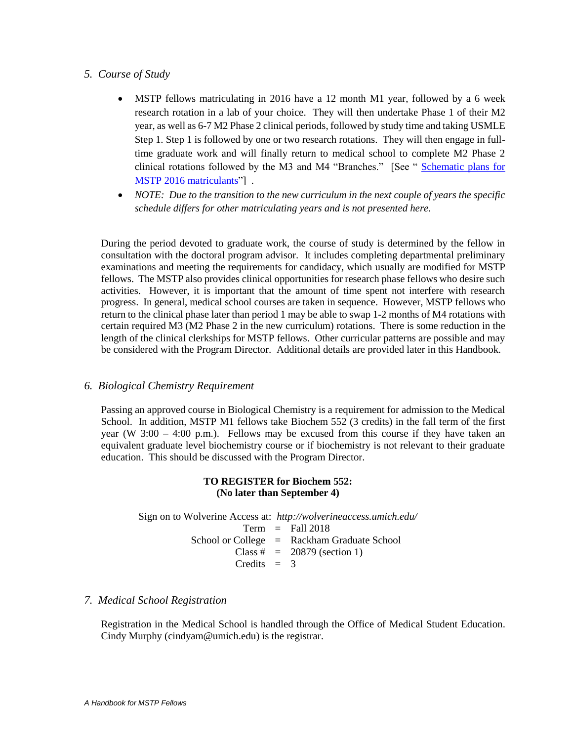## *5. Course of Study*

- MSTP fellows matriculating in 2016 have a 12 month M1 year, followed by a 6 week research rotation in a lab of your choice. They will then undertake Phase 1 of their M2 year, as well as 6-7 M2 Phase 2 clinical periods, followed by study time and taking USMLE Step 1. Step 1 is followed by one or two research rotations. They will then engage in fulltime graduate work and will finally return to medical school to complete M2 Phase 2 clinical rotations followed by the M3 and M4 "Branches." [See " [Schematic plans for](file://///maize.umhsnas.med.umich.edu/umms-msa/MSTP/DOCUMENTS-MSTP/PUBLICATIONS/STUDENT%20HANDBOOK/2017%20Handbook/Schematic%20plan%20MSTP%202016%20matriculants%20TO%20STUDENTS.pptx)  [MSTP 2016 matriculants"](file://///maize.umhsnas.med.umich.edu/umms-msa/MSTP/DOCUMENTS-MSTP/PUBLICATIONS/STUDENT%20HANDBOOK/2017%20Handbook/Schematic%20plan%20MSTP%202016%20matriculants%20TO%20STUDENTS.pptx)].
- *NOTE: Due to the transition to the new curriculum in the next couple of years the specific schedule differs for other matriculating years and is not presented here.*

During the period devoted to graduate work, the course of study is determined by the fellow in consultation with the doctoral program advisor. It includes completing departmental preliminary examinations and meeting the requirements for candidacy, which usually are modified for MSTP fellows. The MSTP also provides clinical opportunities for research phase fellows who desire such activities. However, it is important that the amount of time spent not interfere with research progress. In general, medical school courses are taken in sequence. However, MSTP fellows who return to the clinical phase later than period 1 may be able to swap 1-2 months of M4 rotations with certain required M3 (M2 Phase 2 in the new curriculum) rotations. There is some reduction in the length of the clinical clerkships for MSTP fellows. Other curricular patterns are possible and may be considered with the Program Director. Additional details are provided later in this Handbook.

#### *6. Biological Chemistry Requirement*

Passing an approved course in Biological Chemistry is a requirement for admission to the Medical School. In addition, MSTP M1 fellows take Biochem 552 (3 credits) in the fall term of the first year (W  $3:00 - 4:00$  p.m.). Fellows may be excused from this course if they have taken an equivalent graduate level biochemistry course or if biochemistry is not relevant to their graduate education. This should be discussed with the Program Director.

#### **TO REGISTER for Biochem 552: (No later than September 4)**

Sign on to Wolverine Access at: *http://wolverineaccess.umich.edu/*  $Term = Fall 2018$ School or College = Rackham Graduate School Class  $\# = 20879$  (section 1) Credits  $= 3$ 

#### *7. Medical School Registration*

Registration in the Medical School is handled through the Office of Medical Student Education. Cindy Murphy (cindyam@umich.edu) is the registrar.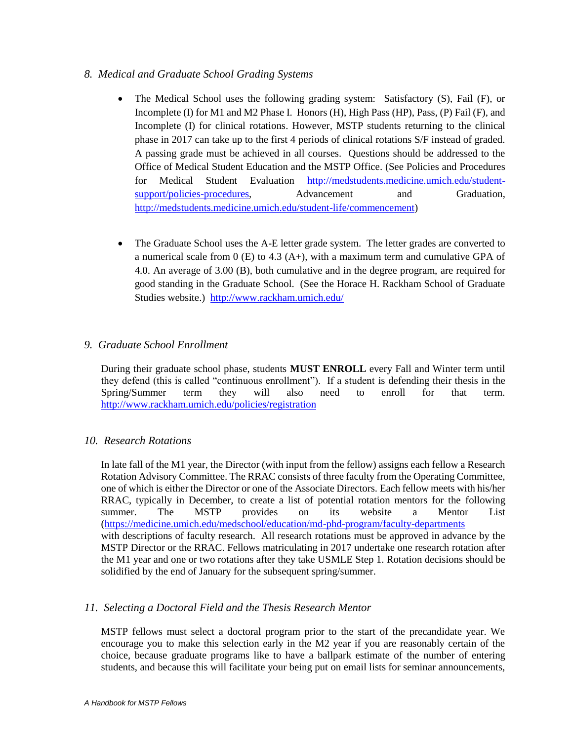## *8. Medical and Graduate School Grading Systems*

- The Medical School uses the following grading system: Satisfactory (S), Fail (F), or Incomplete (I) for M1 and M2 Phase I. Honors (H), High Pass (HP), Pass, (P) Fail (F), and Incomplete (I) for clinical rotations. However, MSTP students returning to the clinical phase in 2017 can take up to the first 4 periods of clinical rotations S/F instead of graded. A passing grade must be achieved in all courses. Questions should be addressed to the Office of Medical Student Education and the MSTP Office. (See Policies and Procedures for Medical Student Evaluation [http://medstudents.medicine.umich.edu/student](http://medstudents.medicine.umich.edu/student-support/policies-procedures)[support/policies-procedures,](http://medstudents.medicine.umich.edu/student-support/policies-procedures) Advancement and Graduation, [http://medstudents.medicine.umich.edu/student-life/commencement\)](http://medstudents.medicine.umich.edu/student-life/commencement)
- The Graduate School uses the A-E letter grade system. The letter grades are converted to a numerical scale from  $0$  (E) to 4.3 (A+), with a maximum term and cumulative GPA of 4.0. An average of 3.00 (B), both cumulative and in the degree program, are required for good standing in the Graduate School. (See the Horace H. Rackham School of Graduate Studies website.)<http://www.rackham.umich.edu/>

## *9. Graduate School Enrollment*

During their graduate school phase, students **MUST ENROLL** every Fall and Winter term until they defend (this is called "continuous enrollment"). If a student is defending their thesis in the Spring/Summer term they will also need to enroll for that term. <http://www.rackham.umich.edu/policies/registration>

## *10. Research Rotations*

In late fall of the M1 year, the Director (with input from the fellow) assigns each fellow a Research Rotation Advisory Committee. The RRAC consists of three faculty from the Operating Committee, one of which is either the Director or one of the Associate Directors. Each fellow meets with his/her RRAC, typically in December, to create a list of potential rotation mentors for the following summer. The MSTP provides on its website a Mentor List [\(https://medicine.umich.edu/medschool/education/md-phd-program/faculty-departments](https://medicine.umich.edu/medschool/education/md-phd-program/faculty-departments) with descriptions of faculty research. All research rotations must be approved in advance by the MSTP Director or the RRAC. Fellows matriculating in 2017 undertake one research rotation after the M1 year and one or two rotations after they take USMLE Step 1. Rotation decisions should be solidified by the end of January for the subsequent spring/summer.

## *11. Selecting a Doctoral Field and the Thesis Research Mentor*

MSTP fellows must select a doctoral program prior to the start of the precandidate year. We encourage you to make this selection early in the M2 year if you are reasonably certain of the choice, because graduate programs like to have a ballpark estimate of the number of entering students, and because this will facilitate your being put on email lists for seminar announcements,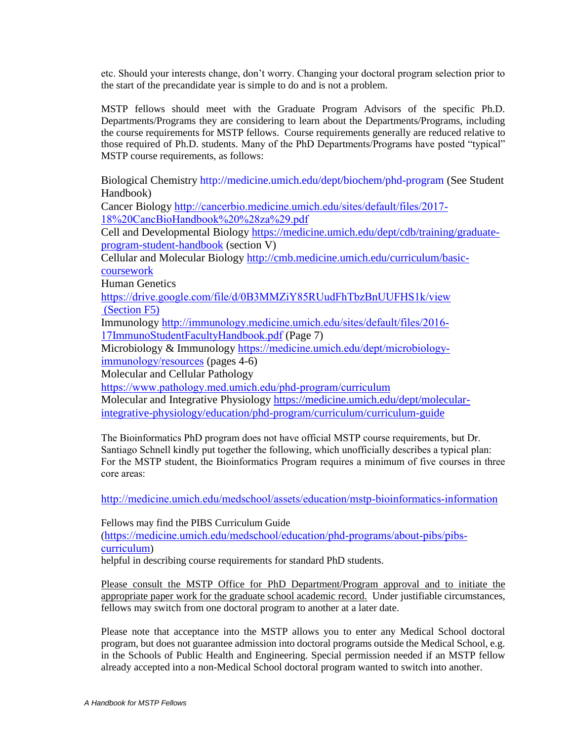etc. Should your interests change, don't worry. Changing your doctoral program selection prior to the start of the precandidate year is simple to do and is not a problem.

MSTP fellows should meet with the Graduate Program Advisors of the specific Ph.D. Departments/Programs they are considering to learn about the Departments/Programs, including the course requirements for MSTP fellows. Course requirements generally are reduced relative to those required of Ph.D. students. Many of the PhD Departments/Programs have posted "typical" MSTP course requirements, as follows:

Biological Chemistry<http://medicine.umich.edu/dept/biochem/phd-program> (See Student Handbook)

Cancer Biology [http://cancerbio.medicine.umich.edu/sites/default/files/2017-](http://cancerbio.medicine.umich.edu/sites/default/files/2017-18%20CancBioHandbook%20%28za%29.pdf) [18%20CancBioHandbook%20%28za%29.pdf](http://cancerbio.medicine.umich.edu/sites/default/files/2017-18%20CancBioHandbook%20%28za%29.pdf)

Cell and Developmental Biology [https://medicine.umich.edu/dept/cdb/training/graduate](https://medicine.umich.edu/dept/cdb/training/graduate-program-student-handbook)[program-student-handbook](https://medicine.umich.edu/dept/cdb/training/graduate-program-student-handbook) (section V)

Cellular and Molecular Biology [http://cmb.medicine.umich.edu/curriculum/basic](http://cmb.medicine.umich.edu/curriculum/basic-coursework)[coursework](http://cmb.medicine.umich.edu/curriculum/basic-coursework)

Human Genetics

<https://drive.google.com/file/d/0B3MMZiY85RUudFhTbzBnUUFHS1k/view> (Section F5)

Immunology [http://immunology.medicine.umich.edu/sites/default/files/2016-](http://immunology.medicine.umich.edu/sites/default/files/2016-17ImmunoStudentFacultyHandbook.pdf) [17ImmunoStudentFacultyHandbook.pdf](http://immunology.medicine.umich.edu/sites/default/files/2016-17ImmunoStudentFacultyHandbook.pdf) (Page 7)

Microbiology & Immunology [https://medicine.umich.edu/dept/microbiology](https://medicine.umich.edu/dept/microbiology-immunology/resources)[immunology/resources](https://medicine.umich.edu/dept/microbiology-immunology/resources) (pages 4-6)

Molecular and Cellular Pathology

<https://www.pathology.med.umich.edu/phd-program/curriculum>

Molecular and Integrative Physiology [https://medicine.umich.edu/dept/molecular](https://medicine.umich.edu/dept/molecular-integrative-physiology/education/phd-program/curriculum/curriculum-guide)[integrative-physiology/education/phd-program/curriculum/curriculum-guide](https://medicine.umich.edu/dept/molecular-integrative-physiology/education/phd-program/curriculum/curriculum-guide)

The Bioinformatics PhD program does not have official MSTP course requirements, but Dr. Santiago Schnell kindly put together the following, which unofficially describes a typical plan: For the MSTP student, the Bioinformatics Program requires a minimum of five courses in three core areas:

<http://medicine.umich.edu/medschool/assets/education/mstp-bioinformatics-information>

Fellows may find the PIBS Curriculum Guide ([https://medicine.umich.edu/medschool/education/phd-programs/about-pibs/pibs](https://medicine.umich.edu/medschool/education/phd-programs/about-pibs/pibs-curriculum)[curriculum](https://medicine.umich.edu/medschool/education/phd-programs/about-pibs/pibs-curriculum))

helpful in describing course requirements for standard PhD students.

Please consult the MSTP Office for PhD Department/Program approval and to initiate the appropriate paper work for the graduate school academic record. Under justifiable circumstances, fellows may switch from one doctoral program to another at a later date.

Please note that acceptance into the MSTP allows you to enter any Medical School doctoral program, but does not guarantee admission into doctoral programs outside the Medical School, e.g. in the Schools of Public Health and Engineering. Special permission needed if an MSTP fellow already accepted into a non-Medical School doctoral program wanted to switch into another.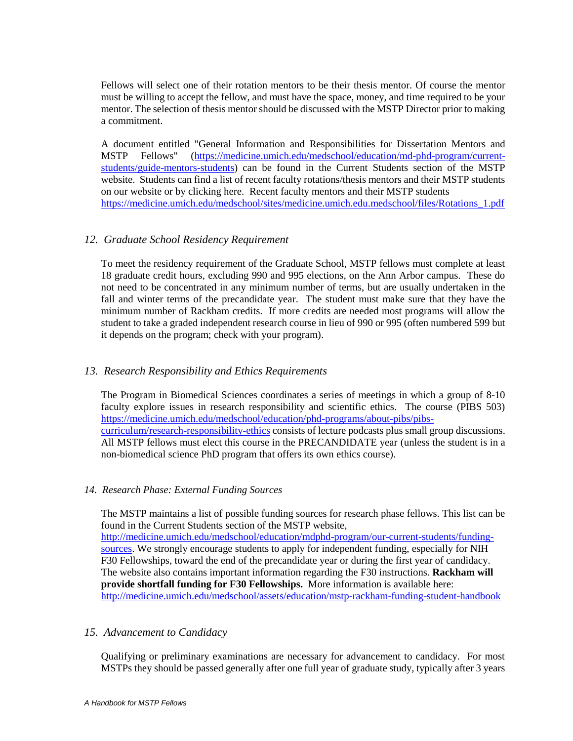Fellows will select one of their rotation mentors to be their thesis mentor. Of course the mentor must be willing to accept the fellow, and must have the space, money, and time required to be your mentor. The selection of thesis mentor should be discussed with the MSTP Director prior to making a commitment.

A document entitled "General Information and Responsibilities for Dissertation Mentors and MSTP Fellows" [\(https://medicine.umich.edu/medschool/education/md-phd-program/current](https://medicine.umich.edu/medschool/education/md-phd-program/current-students/guide-mentors-students)[students/guide-mentors-students\)](https://medicine.umich.edu/medschool/education/md-phd-program/current-students/guide-mentors-students) can be found in the Current Students section of the MSTP website. Students can find a list of recent faculty rotations/thesis mentors and their MSTP students on our website or by clicking here. Recent faculty mentors and their MSTP students [https://medicine.umich.edu/medschool/sites/medicine.umich.edu.medschool/files/Rotations\\_1.pdf](https://medicine.umich.edu/medschool/sites/medicine.umich.edu.medschool/files/Rotations_1.pdf)

## *12. Graduate School Residency Requirement*

To meet the residency requirement of the Graduate School, MSTP fellows must complete at least 18 graduate credit hours, excluding 990 and 995 elections, on the Ann Arbor campus. These do not need to be concentrated in any minimum number of terms, but are usually undertaken in the fall and winter terms of the precandidate year. The student must make sure that they have the minimum number of Rackham credits. If more credits are needed most programs will allow the student to take a graded independent research course in lieu of 990 or 995 (often numbered 599 but it depends on the program; check with your program).

## *13. Research Responsibility and Ethics Requirements*

The Program in Biomedical Sciences coordinates a series of meetings in which a group of 8-10 faculty explore issues in research responsibility and scientific ethics. The course (PIBS 503) [https://medicine.umich.edu/medschool/education/phd-programs/about-pibs/pibs](https://medicine.umich.edu/medschool/education/phd-programs/about-pibs/pibs-curriculum/research-responsibility-ethics)[curriculum/research-responsibility-ethics](https://medicine.umich.edu/medschool/education/phd-programs/about-pibs/pibs-curriculum/research-responsibility-ethics) consists of lecture podcasts plus small group discussions. All MSTP fellows must elect this course in the PRECANDIDATE year (unless the student is in a non-biomedical science PhD program that offers its own ethics course).

#### *14. Research Phase: External Funding Sources*

The MSTP maintains a list of possible funding sources for research phase fellows. This list can be found in the Current Students section of the MSTP website, [http://medicine.umich.edu/medschool/education/mdphd-program/our-current-students/funding](http://medicine.umich.edu/medschool/education/mdphd-program/our-current-students/funding-sources)[sources.](http://medicine.umich.edu/medschool/education/mdphd-program/our-current-students/funding-sources) We strongly encourage students to apply for independent funding, especially for NIH F30 Fellowships, toward the end of the precandidate year or during the first year of candidacy. The website also contains important information regarding the F30 instructions. **Rackham will provide shortfall funding for F30 Fellowships.** More information is available here: <http://medicine.umich.edu/medschool/assets/education/mstp-rackham-funding-student-handbook>

#### *15. Advancement to Candidacy*

Qualifying or preliminary examinations are necessary for advancement to candidacy. For most MSTPs they should be passed generally after one full year of graduate study, typically after 3 years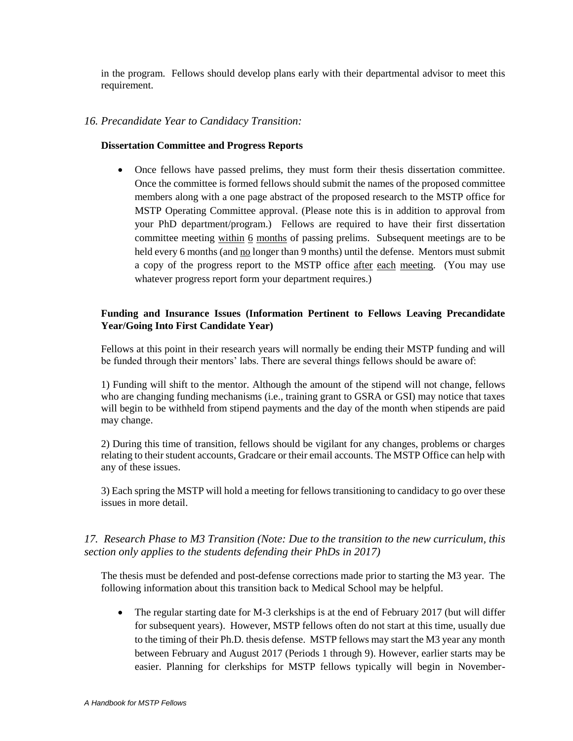in the program. Fellows should develop plans early with their departmental advisor to meet this requirement.

## *16. Precandidate Year to Candidacy Transition:*

#### **Dissertation Committee and Progress Reports**

 Once fellows have passed prelims, they must form their thesis dissertation committee. Once the committee is formed fellows should submit the names of the proposed committee members along with a one page abstract of the proposed research to the MSTP office for MSTP Operating Committee approval. (Please note this is in addition to approval from your PhD department/program.) Fellows are required to have their first dissertation committee meeting within 6 months of passing prelims. Subsequent meetings are to be held every 6 months (and no longer than 9 months) until the defense. Mentors must submit a copy of the progress report to the MSTP office after each meeting. (You may use whatever progress report form your department requires.)

## **Funding and Insurance Issues (Information Pertinent to Fellows Leaving Precandidate Year/Going Into First Candidate Year)**

Fellows at this point in their research years will normally be ending their MSTP funding and will be funded through their mentors' labs. There are several things fellows should be aware of:

1) Funding will shift to the mentor. Although the amount of the stipend will not change, fellows who are changing funding mechanisms (i.e., training grant to GSRA or GSI) may notice that taxes will begin to be withheld from stipend payments and the day of the month when stipends are paid may change.

2) During this time of transition, fellows should be vigilant for any changes, problems or charges relating to their student accounts, Gradcare or their email accounts. The MSTP Office can help with any of these issues.

3) Each spring the MSTP will hold a meeting for fellows transitioning to candidacy to go over these issues in more detail.

## *17. Research Phase to M3 Transition (Note: Due to the transition to the new curriculum, this section only applies to the students defending their PhDs in 2017)*

The thesis must be defended and post-defense corrections made prior to starting the M3 year. The following information about this transition back to Medical School may be helpful.

• The regular starting date for M-3 clerkships is at the end of February 2017 (but will differ for subsequent years). However, MSTP fellows often do not start at this time, usually due to the timing of their Ph.D. thesis defense. MSTP fellows may start the M3 year any month between February and August 2017 (Periods 1 through 9). However, earlier starts may be easier. Planning for clerkships for MSTP fellows typically will begin in November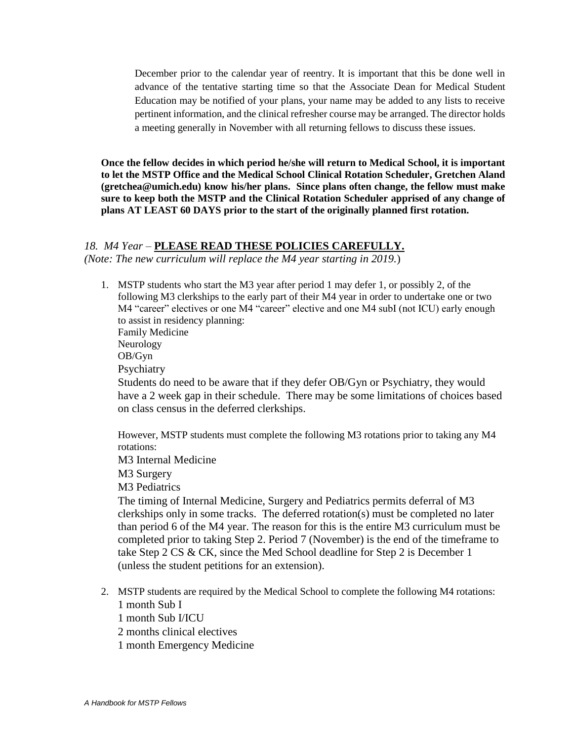December prior to the calendar year of reentry. It is important that this be done well in advance of the tentative starting time so that the Associate Dean for Medical Student Education may be notified of your plans, your name may be added to any lists to receive pertinent information, and the clinical refresher course may be arranged. The director holds a meeting generally in November with all returning fellows to discuss these issues.

**Once the fellow decides in which period he/she will return to Medical School, it is important to let the MSTP Office and the Medical School Clinical Rotation Scheduler, Gretchen Aland (gretchea@umich.edu) know his/her plans. Since plans often change, the fellow must make sure to keep both the MSTP and the Clinical Rotation Scheduler apprised of any change of plans AT LEAST 60 DAYS prior to the start of the originally planned first rotation.** 

## *18. M4 Year –* **PLEASE READ THESE POLICIES CAREFULLY.**

*(Note: The new curriculum will replace the M4 year starting in 2019.*)

1. MSTP students who start the M3 year after period 1 may defer 1, or possibly 2, of the following M3 clerkships to the early part of their M4 year in order to undertake one or two M4 "career" electives or one M4 "career" elective and one M4 subI (not ICU) early enough to assist in residency planning: Family Medicine Neurology OB/Gyn Psychiatry Students do need to be aware that if they defer OB/Gyn or Psychiatry, they would have a 2 week gap in their schedule. There may be some limitations of choices based on class census in the deferred clerkships.

However, MSTP students must complete the following M3 rotations prior to taking any M4 rotations:

M3 Internal Medicine M3 Surgery

M3 Pediatrics

The timing of Internal Medicine, Surgery and Pediatrics permits deferral of M3 clerkships only in some tracks. The deferred rotation(s) must be completed no later than period 6 of the M4 year. The reason for this is the entire M3 curriculum must be completed prior to taking Step 2. Period 7 (November) is the end of the timeframe to take Step 2 CS & CK, since the Med School deadline for Step 2 is December 1 (unless the student petitions for an extension).

- 2. MSTP students are required by the Medical School to complete the following M4 rotations: 1 month Sub I
	- 1 month Sub I/ICU
	- 2 months clinical electives
	- 1 month Emergency Medicine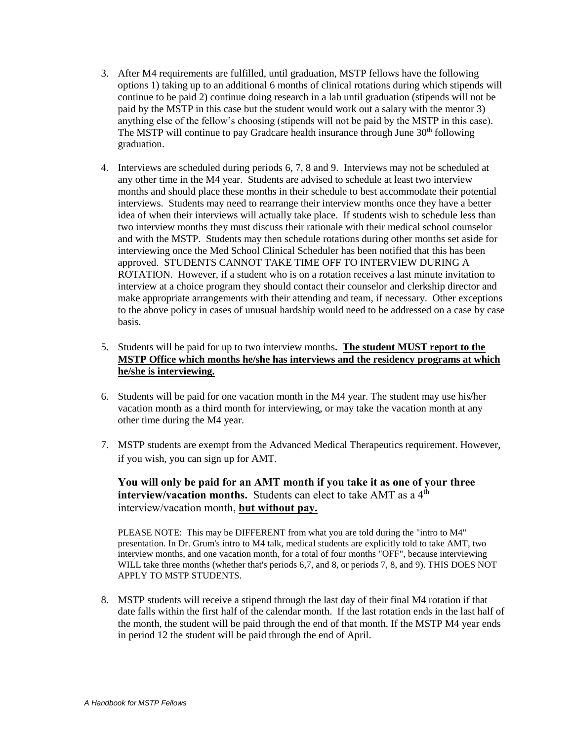- 3. After M4 requirements are fulfilled, until graduation, MSTP fellows have the following options 1) taking up to an additional 6 months of clinical rotations during which stipends will continue to be paid 2) continue doing research in a lab until graduation (stipends will not be paid by the MSTP in this case but the student would work out a salary with the mentor 3) anything else of the fellow's choosing (stipends will not be paid by the MSTP in this case). The MSTP will continue to pay Gradcare health insurance through June 30<sup>th</sup> following graduation.
- 4. Interviews are scheduled during periods 6, 7, 8 and 9. Interviews may not be scheduled at any other time in the M4 year. Students are advised to schedule at least two interview months and should place these months in their schedule to best accommodate their potential interviews. Students may need to rearrange their interview months once they have a better idea of when their interviews will actually take place. If students wish to schedule less than two interview months they must discuss their rationale with their medical school counselor and with the MSTP. Students may then schedule rotations during other months set aside for interviewing once the Med School Clinical Scheduler has been notified that this has been approved. STUDENTS CANNOT TAKE TIME OFF TO INTERVIEW DURING A ROTATION. However, if a student who is on a rotation receives a last minute invitation to interview at a choice program they should contact their counselor and clerkship director and make appropriate arrangements with their attending and team, if necessary. Other exceptions to the above policy in cases of unusual hardship would need to be addressed on a case by case basis.
- 5. Students will be paid for up to two interview months**. The student MUST report to the MSTP Office which months he/she has interviews and the residency programs at which he/she is interviewing.**
- 6. Students will be paid for one vacation month in the M4 year. The student may use his/her vacation month as a third month for interviewing, or may take the vacation month at any other time during the M4 year.
- 7. MSTP students are exempt from the Advanced Medical Therapeutics requirement. However, if you wish, you can sign up for AMT.

## **You will only be paid for an AMT month if you take it as one of your three interview/vacation months.** Students can elect to take AMT as a 4<sup>th</sup> interview/vacation month, **but without pay.**

PLEASE NOTE: This may be DIFFERENT from what you are told during the "intro to M4" presentation. In Dr. Grum's intro to M4 talk, medical students are explicitly told to take AMT, two interview months, and one vacation month, for a total of four months "OFF", because interviewing WILL take three months (whether that's periods 6,7, and 8, or periods 7, 8, and 9). THIS DOES NOT APPLY TO MSTP STUDENTS.

8. MSTP students will receive a stipend through the last day of their final M4 rotation if that date falls within the first half of the calendar month. If the last rotation ends in the last half of the month, the student will be paid through the end of that month. If the MSTP M4 year ends in period 12 the student will be paid through the end of April.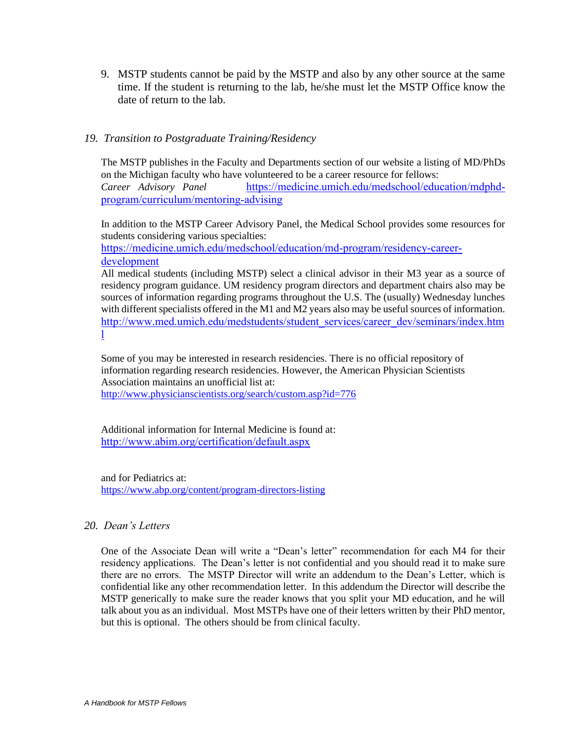9. MSTP students cannot be paid by the MSTP and also by any other source at the same time. If the student is returning to the lab, he/she must let the MSTP Office know the date of return to the lab.

## *19. Transition to Postgraduate Training/Residency*

The MSTP publishes in the Faculty and Departments section of our website a listing of MD/PhDs on the Michigan faculty who have volunteered to be a career resource for fellows:

*Career Advisory Panel* [https://medicine.umich.edu/medschool/education/mdphd](https://medicine.umich.edu/medschool/education/mdphd-program/curriculum/mentoring-advising)[program/curriculum/mentoring-advising](https://medicine.umich.edu/medschool/education/mdphd-program/curriculum/mentoring-advising)

In addition to the MSTP Career Advisory Panel, the Medical School provides some resources for students considering various specialties:

[https://medicine.umich.edu/medschool/education/md-program/residency-career](https://medicine.umich.edu/medschool/education/md-program/residency-career-development)[development](https://medicine.umich.edu/medschool/education/md-program/residency-career-development)

All medical students (including MSTP) select a clinical advisor in their M3 year as a source of residency program guidance. UM residency program directors and department chairs also may be sources of information regarding programs throughout the U.S. The (usually) Wednesday lunches with different specialists offered in the M1 and M2 years also may be useful sources of information. [http://www.med.umich.edu/medstudents/student\\_services/career\\_dev/seminars/index.htm](http://www.med.umich.edu/medstudents/student_services/career_dev/seminars/index.html) [l](http://www.med.umich.edu/medstudents/student_services/career_dev/seminars/index.html)

Some of you may be interested in research residencies. There is no official repository of information regarding research residencies. However, the American Physician Scientists Association maintains an unofficial list at:

<http://www.physicianscientists.org/search/custom.asp?id=776>

Additional information for Internal Medicine is found at: <http://www.abim.org/certification/default.aspx>

and for Pediatrics at: <https://www.abp.org/content/program-directors-listing>

## *20. Dean's Letters*

One of the Associate Dean will write a "Dean's letter" recommendation for each M4 for their residency applications. The Dean's letter is not confidential and you should read it to make sure there are no errors. The MSTP Director will write an addendum to the Dean's Letter, which is confidential like any other recommendation letter. In this addendum the Director will describe the MSTP generically to make sure the reader knows that you split your MD education, and he will talk about you as an individual. Most MSTPs have one of their letters written by their PhD mentor, but this is optional. The others should be from clinical faculty.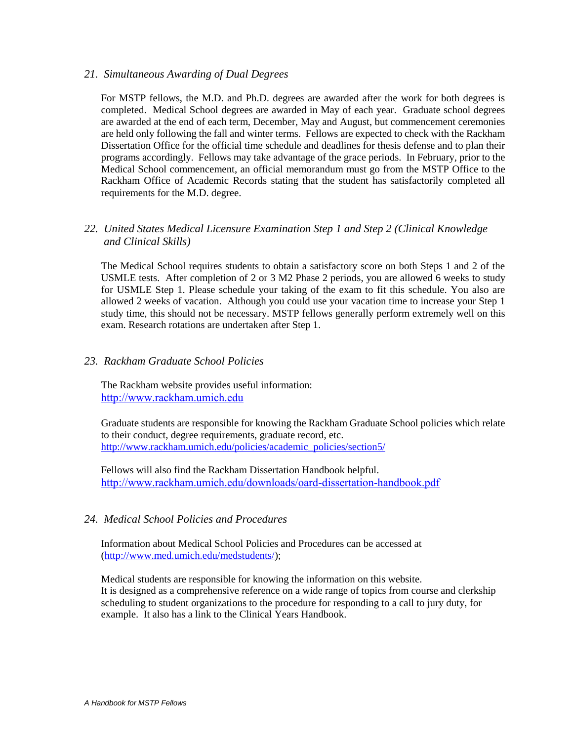## *21. Simultaneous Awarding of Dual Degrees*

For MSTP fellows, the M.D. and Ph.D. degrees are awarded after the work for both degrees is completed. Medical School degrees are awarded in May of each year. Graduate school degrees are awarded at the end of each term, December, May and August, but commencement ceremonies are held only following the fall and winter terms. Fellows are expected to check with the Rackham Dissertation Office for the official time schedule and deadlines for thesis defense and to plan their programs accordingly. Fellows may take advantage of the grace periods. In February, prior to the Medical School commencement, an official memorandum must go from the MSTP Office to the Rackham Office of Academic Records stating that the student has satisfactorily completed all requirements for the M.D. degree.

## *22. United States Medical Licensure Examination Step 1 and Step 2 (Clinical Knowledge and Clinical Skills)*

The Medical School requires students to obtain a satisfactory score on both Steps 1 and 2 of the USMLE tests. After completion of 2 or 3 M2 Phase 2 periods, you are allowed 6 weeks to study for USMLE Step 1. Please schedule your taking of the exam to fit this schedule. You also are allowed 2 weeks of vacation. Although you could use your vacation time to increase your Step 1 study time, this should not be necessary. MSTP fellows generally perform extremely well on this exam. Research rotations are undertaken after Step 1.

## *23. Rackham Graduate School Policies*

The Rackham website provides useful information: [http://www.rackham.umich.edu](http://www.rackham.umich.edu/)

Graduate students are responsible for knowing the Rackham Graduate School policies which relate to their conduct, degree requirements, graduate record, etc. [http://www.rackham.umich.edu/policies/academic\\_policies/section5/](http://www.rackham.umich.edu/policies/academic_policies/section5/)

Fellows will also find the Rackham Dissertation Handbook helpful. <http://www.rackham.umich.edu/downloads/oard-dissertation-handbook.pdf>

## *24. Medical School Policies and Procedures*

Information about Medical School Policies and Procedures can be accessed at [\(http://www.med.umich.edu/medstudents/\)](http://www.med.umich.edu/medstudents/);

Medical students are responsible for knowing the information on this website. It is designed as a comprehensive reference on a wide range of topics from course and clerkship scheduling to student organizations to the procedure for responding to a call to jury duty, for example. It also has a link to the Clinical Years Handbook.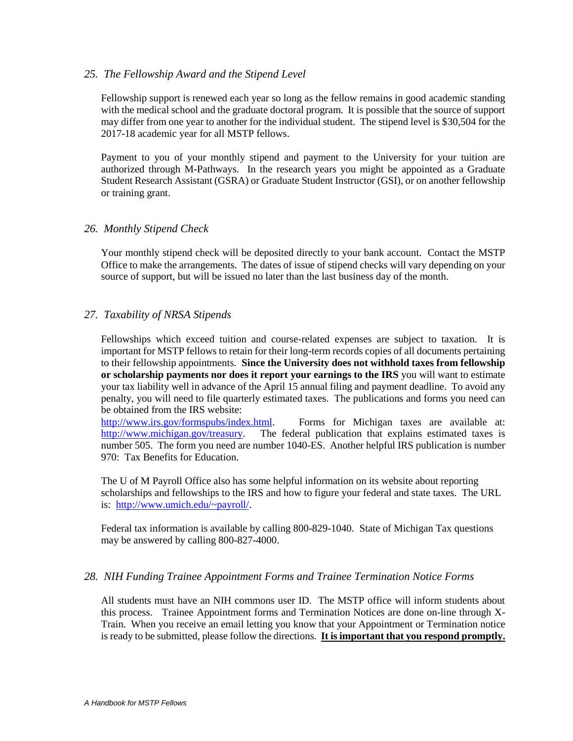## *25. The Fellowship Award and the Stipend Level*

Fellowship support is renewed each year so long as the fellow remains in good academic standing with the medical school and the graduate doctoral program. It is possible that the source of support may differ from one year to another for the individual student. The stipend level is \$30,504 for the 2017-18 academic year for all MSTP fellows.

Payment to you of your monthly stipend and payment to the University for your tuition are authorized through M-Pathways. In the research years you might be appointed as a Graduate Student Research Assistant (GSRA) or Graduate Student Instructor (GSI), or on another fellowship or training grant.

#### *26. Monthly Stipend Check*

Your monthly stipend check will be deposited directly to your bank account. Contact the MSTP Office to make the arrangements. The dates of issue of stipend checks will vary depending on your source of support, but will be issued no later than the last business day of the month.

## *27. Taxability of NRSA Stipends*

Fellowships which exceed tuition and course-related expenses are subject to taxation. It is important for MSTP fellows to retain for their long-term records copies of all documents pertaining to their fellowship appointments. **Since the University does not withhold taxes from fellowship or scholarship payments nor does it report your earnings to the IRS** you will want to estimate your tax liability well in advance of the April 15 annual filing and payment deadline. To avoid any penalty, you will need to file quarterly estimated taxes. The publications and forms you need can be obtained from the IRS website:

[http://www.irs.gov/formspubs/index.html.](http://www.irs.gov/formspubs/index.html) Forms for Michigan taxes are available at: [http://www.michigan.gov/treasury.](http://www.michigan.gov/treasury) The federal publication that explains estimated taxes is number 505. The form you need are number 1040-ES. Another helpful IRS publication is number 970: Tax Benefits for Education.

The U of M Payroll Office also has some helpful information on its website about reporting scholarships and fellowships to the IRS and how to figure your federal and state taxes. The URL is: [http://www.umich.edu/~payroll/.](http://www.umich.edu/~payroll/)

Federal tax information is available by calling 800-829-1040. State of Michigan Tax questions may be answered by calling 800-827-4000.

#### *28. NIH Funding Trainee Appointment Forms and Trainee Termination Notice Forms*

All students must have an NIH commons user ID. The MSTP office will inform students about this process. Trainee Appointment forms and Termination Notices are done on-line through X-Train. When you receive an email letting you know that your Appointment or Termination notice is ready to be submitted, please follow the directions. **It is important that you respond promptly.**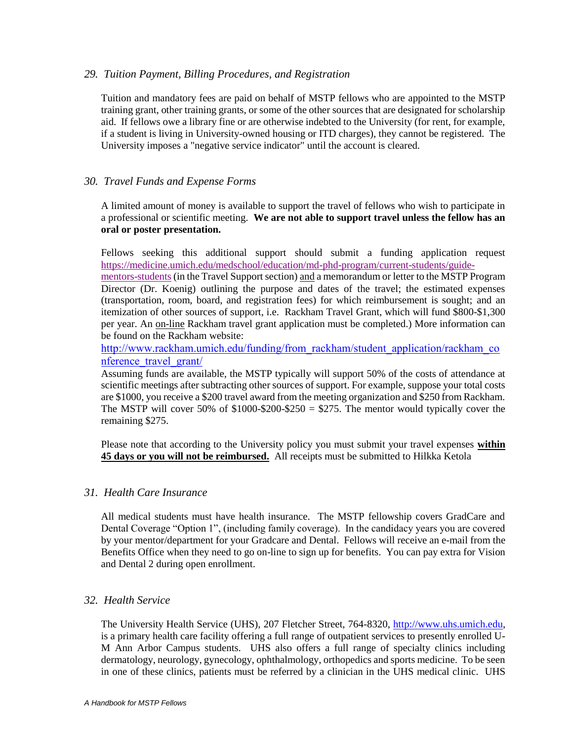## *29. Tuition Payment, Billing Procedures, and Registration*

Tuition and mandatory fees are paid on behalf of MSTP fellows who are appointed to the MSTP training grant, other training grants, or some of the other sources that are designated for scholarship aid. If fellows owe a library fine or are otherwise indebted to the University (for rent, for example, if a student is living in University-owned housing or ITD charges), they cannot be registered. The University imposes a "negative service indicator" until the account is cleared.

## *30. Travel Funds and Expense Forms*

A limited amount of money is available to support the travel of fellows who wish to participate in a professional or scientific meeting. **We are not able to support travel unless the fellow has an oral or poster presentation.**

Fellows seeking this additional support should submit a funding application request [https://medicine.umich.edu/medschool/education/md-phd-program/current-students/guide-](https://medicine.umich.edu/medschool/education/md-phd-program/current-students/guide-mentors-students)

[mentors-students](https://medicine.umich.edu/medschool/education/md-phd-program/current-students/guide-mentors-students) (in the Travel Support section) and a memorandum or letter to the MSTP Program Director (Dr. Koenig) outlining the purpose and dates of the travel; the estimated expenses (transportation, room, board, and registration fees) for which reimbursement is sought; and an itemization of other sources of support, i.e. Rackham Travel Grant, which will fund \$800-\$1,300 per year. An on-line Rackham travel grant application must be completed.) More information can be found on the Rackham website:

[http://www.rackham.umich.edu/funding/from\\_rackham/student\\_application/rackham\\_co](http://www.rackham.umich.edu/funding/from_rackham/student_application/rackham_conference_travel_grant/) [nference\\_travel\\_grant/](http://www.rackham.umich.edu/funding/from_rackham/student_application/rackham_conference_travel_grant/)

Assuming funds are available, the MSTP typically will support 50% of the costs of attendance at scientific meetings after subtracting other sources of support. For example, suppose your total costs are \$1000, you receive a \$200 travel award from the meeting organization and \$250 from Rackham. The MSTP will cover 50% of  $$1000-\$200-\$250 = $275$ . The mentor would typically cover the remaining \$275.

Please note that according to the University policy you must submit your travel expenses **within 45 days or you will not be reimbursed.** All receipts must be submitted to Hilkka Ketola

#### *31. Health Care Insurance*

All medical students must have health insurance. The MSTP fellowship covers GradCare and Dental Coverage "Option 1", (including family coverage). In the candidacy years you are covered by your mentor/department for your Gradcare and Dental. Fellows will receive an e-mail from the Benefits Office when they need to go on-line to sign up for benefits. You can pay extra for Vision and Dental 2 during open enrollment.

#### *32. Health Service*

The University Health Service (UHS), 207 Fletcher Street, 764-8320, [http://www.uhs.umich.edu,](http://www.uhs.umich.edu/) is a primary health care facility offering a full range of outpatient services to presently enrolled U-M Ann Arbor Campus students. UHS also offers a full range of specialty clinics including dermatology, neurology, gynecology, ophthalmology, orthopedics and sports medicine. To be seen in one of these clinics, patients must be referred by a clinician in the UHS medical clinic. UHS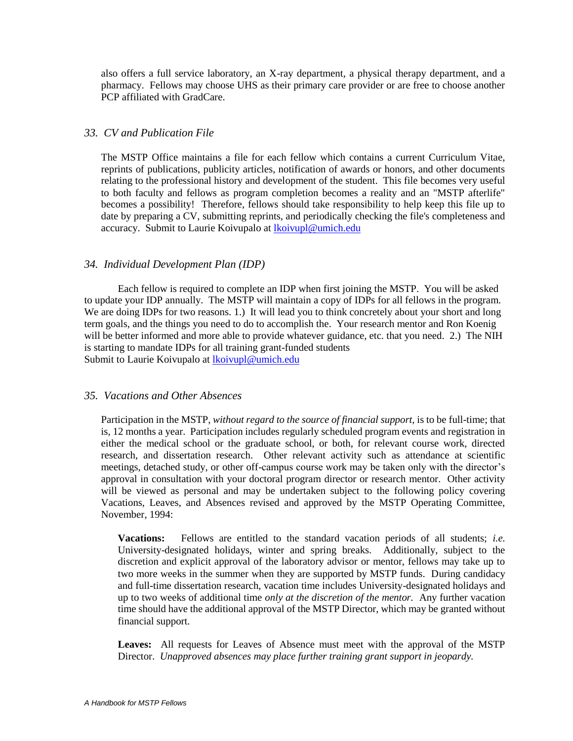also offers a full service laboratory, an X-ray department, a physical therapy department, and a pharmacy. Fellows may choose UHS as their primary care provider or are free to choose another PCP affiliated with GradCare.

#### *33. CV and Publication File*

The MSTP Office maintains a file for each fellow which contains a current Curriculum Vitae, reprints of publications, publicity articles, notification of awards or honors, and other documents relating to the professional history and development of the student. This file becomes very useful to both faculty and fellows as program completion becomes a reality and an "MSTP afterlife" becomes a possibility! Therefore, fellows should take responsibility to help keep this file up to date by preparing a CV, submitting reprints, and periodically checking the file's completeness and accuracy. Submit to Laurie Koivupalo at [lkoivupl@umich.edu](mailto:lkoivupl@umich.edu)

## *34. Individual Development Plan (IDP)*

Each fellow is required to complete an IDP when first joining the MSTP. You will be asked to update your IDP annually. The MSTP will maintain a copy of IDPs for all fellows in the program. We are doing IDPs for two reasons. 1.) It will lead you to think concretely about your short and long term goals, and the things you need to do to accomplish the. Your research mentor and Ron Koenig will be better informed and more able to provide whatever guidance, etc. that you need. 2.) The NIH is starting to mandate IDPs for all training grant-funded students Submit to Laurie Koivupalo at **koivupl@umich.edu** 

#### *35. Vacations and Other Absences*

Participation in the MSTP, *without regard to the source of financial support,* is to be full-time; that is, 12 months a year. Participation includes regularly scheduled program events and registration in either the medical school or the graduate school, or both, for relevant course work, directed research, and dissertation research. Other relevant activity such as attendance at scientific meetings, detached study, or other off-campus course work may be taken only with the director's approval in consultation with your doctoral program director or research mentor. Other activity will be viewed as personal and may be undertaken subject to the following policy covering Vacations, Leaves, and Absences revised and approved by the MSTP Operating Committee, November, 1994:

**Vacations:** Fellows are entitled to the standard vacation periods of all students; *i.e.*  University-designated holidays, winter and spring breaks. Additionally, subject to the discretion and explicit approval of the laboratory advisor or mentor, fellows may take up to two more weeks in the summer when they are supported by MSTP funds. During candidacy and full-time dissertation research, vacation time includes University-designated holidays and up to two weeks of additional time *only at the discretion of the mentor.* Any further vacation time should have the additional approval of the MSTP Director, which may be granted without financial support.

**Leaves:** All requests for Leaves of Absence must meet with the approval of the MSTP Director. *Unapproved absences may place further training grant support in jeopardy.*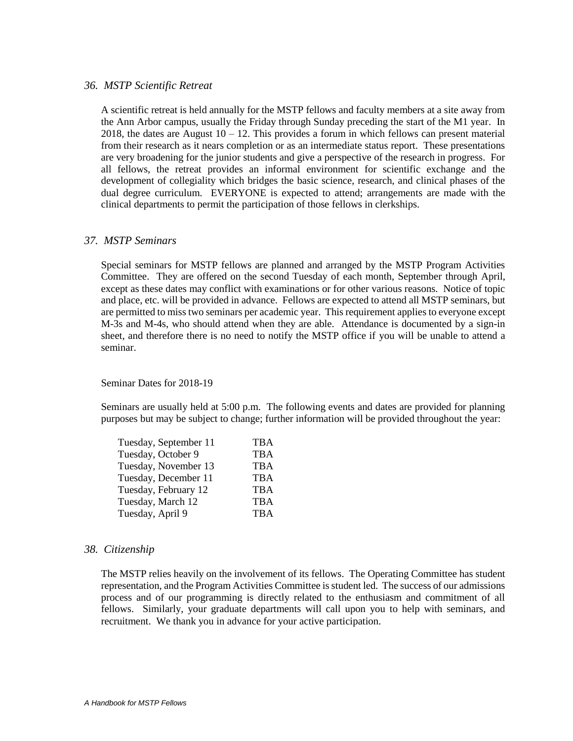#### *36. MSTP Scientific Retreat*

A scientific retreat is held annually for the MSTP fellows and faculty members at a site away from the Ann Arbor campus, usually the Friday through Sunday preceding the start of the M1 year. In 2018, the dates are August  $10 - 12$ . This provides a forum in which fellows can present material from their research as it nears completion or as an intermediate status report. These presentations are very broadening for the junior students and give a perspective of the research in progress. For all fellows, the retreat provides an informal environment for scientific exchange and the development of collegiality which bridges the basic science, research, and clinical phases of the dual degree curriculum. EVERYONE is expected to attend; arrangements are made with the clinical departments to permit the participation of those fellows in clerkships.

#### *37. MSTP Seminars*

Special seminars for MSTP fellows are planned and arranged by the MSTP Program Activities Committee. They are offered on the second Tuesday of each month, September through April, except as these dates may conflict with examinations or for other various reasons. Notice of topic and place, etc. will be provided in advance. Fellows are expected to attend all MSTP seminars, but are permitted to miss two seminars per academic year. This requirement applies to everyone except M-3s and M-4s, who should attend when they are able. Attendance is documented by a sign-in sheet, and therefore there is no need to notify the MSTP office if you will be unable to attend a seminar.

Seminar Dates for 2018-19

Seminars are usually held at 5:00 p.m. The following events and dates are provided for planning purposes but may be subject to change; further information will be provided throughout the year:

| Tuesday, September 11 | TBA        |
|-----------------------|------------|
| Tuesday, October 9    | <b>TBA</b> |
| Tuesday, November 13  | <b>TBA</b> |
| Tuesday, December 11  | <b>TBA</b> |
| Tuesday, February 12  | <b>TBA</b> |
| Tuesday, March 12     | <b>TBA</b> |
| Tuesday, April 9      | <b>TBA</b> |

#### *38. Citizenship*

The MSTP relies heavily on the involvement of its fellows. The Operating Committee has student representation, and the Program Activities Committee is student led. The success of our admissions process and of our programming is directly related to the enthusiasm and commitment of all fellows. Similarly, your graduate departments will call upon you to help with seminars, and recruitment. We thank you in advance for your active participation.